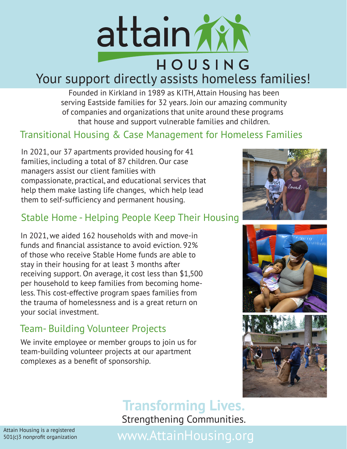

# Your support directly assists homeless families!

Founded in Kirkland in 1989 as KITH, Attain Housing has been serving Eastside families for 32 years. Join our amazing community of companies and organizations that unite around these programs that house and support vulnerable families and children.

### Transitional Housing & Case Management for Homeless Families

In 2021, our 37 apartments provided housing for 41 families, including a total of 87 children. Our case managers assist our client families with compassionate, practical, and educational services that help them make lasting life changes, which help lead them to self-sufficiency and permanent housing.

#### Stable Home - Helping People Keep Their Housing

In 2021, we aided 162 households with and move-in funds and financial assistance to avoid eviction. 92% of those who receive Stable Home funds are able to stay in their housing for at least 3 months after receiving support. On average, it cost less than \$1,500 per household to keep families from becoming homeless. This cost-effective program spaes families from the trauma of homelessness and is a great return on your social investment.

#### Team- Building Volunteer Projects

We invite employee or member groups to join us for team-building volunteer projects at our apartment complexes as a benefit of sponsorship.







# **Transforming Lives.**

Strengthening Communities.

Attain Housing is a registered 501(c)3 nonprofit organization

# www.AttainHousing.org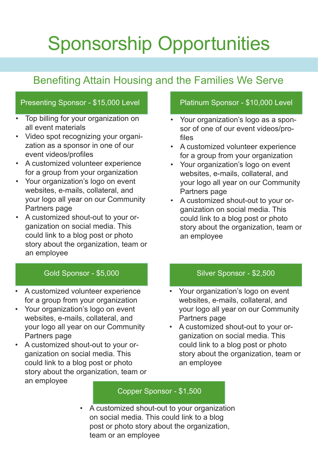# Sponsorship Opportunities

## Benefiting Attain Housing and the Families We Serve

#### Presenting Sponsor - \$15,000 Level Platinum Sponsor - \$10,000 Level

- Top billing for your organization on all event materials
- Video spot recognizing your organization as a sponsor in one of our event videos/profiles
- A customized volunteer experience for a group from your organization
- Your organization's logo on event websites, e-mails, collateral, and your logo all year on our Community Partners page
- A customized shout-out to your organization on social media. This could link to a blog post or photo story about the organization, team or an employee

#### Gold Sponsor - \$5,000

- A customized volunteer experience for a group from your organization
- Your organization's logo on event websites, e-mails, collateral, and your logo all year on our Community Partners page
- A customized shout-out to your organization on social media. This could link to a blog post or photo story about the organization, team or an employee

- Your organization's logo as a sponsor of one of our event videos/profiles
- A customized volunteer experience for a group from your organization
- Your organization's logo on event websites, e-mails, collateral, and your logo all year on our Community Partners page
- A customized shout-out to your organization on social media. This could link to a blog post or photo story about the organization, team or an employee

#### Silver Sponsor - \$2,500

- Your organization's logo on event websites, e-mails, collateral, and your logo all year on our Community Partners page
- A customized shout-out to your organization on social media. This could link to a blog post or photo story about the organization, team or an employee

#### Copper Sponsor - \$1,500

• A customized shout-out to your organization on social media. This could link to a blog post or photo story about the organization, team or an employee